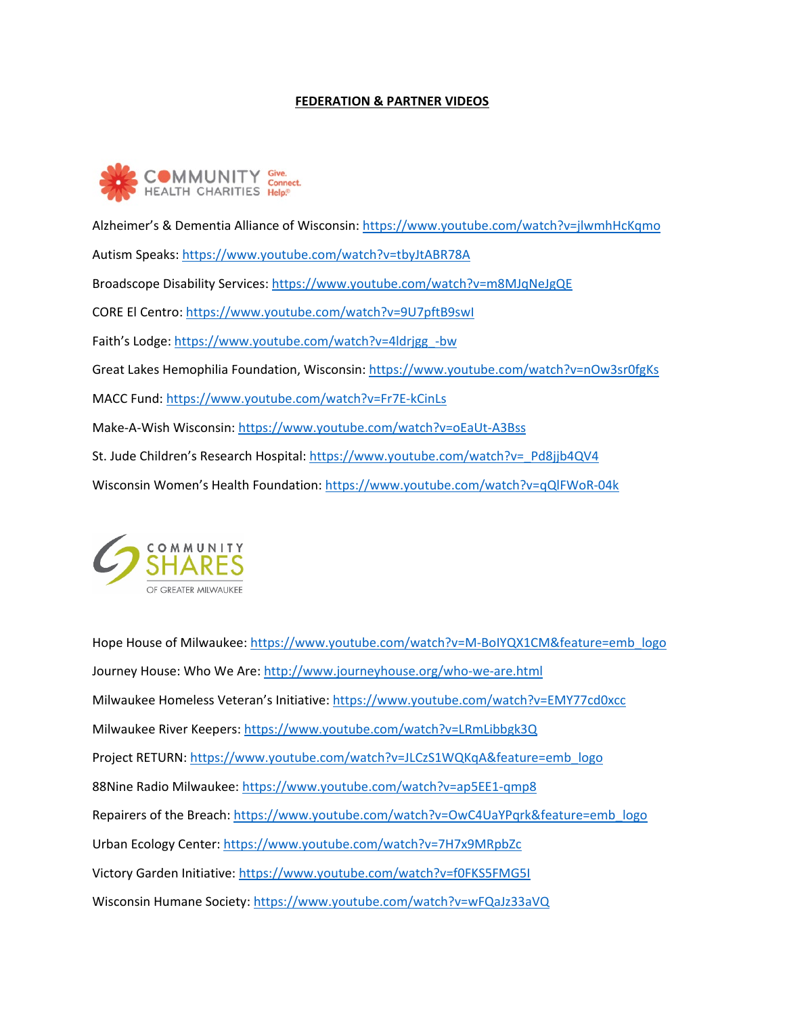## **FEDERATION & PARTNER VIDEOS**



Alzheimer's & Dementia Alliance of Wisconsin:<https://www.youtube.com/watch?v=jlwmhHcKqmo> Autism Speaks:<https://www.youtube.com/watch?v=tbyJtABR78A> Broadscope Disability Services:<https://www.youtube.com/watch?v=m8MJqNeJgQE> CORE El Centro:<https://www.youtube.com/watch?v=9U7pftB9swI> Faith's Lodge: [https://www.youtube.com/watch?v=4ldrjgg\\_-bw](https://www.youtube.com/watch?v=4ldrjgg_-bw) Great Lakes Hemophilia Foundation, Wisconsin:<https://www.youtube.com/watch?v=nOw3sr0fgKs> MACC Fund:<https://www.youtube.com/watch?v=Fr7E-kCinLs> Make-A-Wish Wisconsin:<https://www.youtube.com/watch?v=oEaUt-A3Bss> St. Jude Children's Research Hospital: [https://www.youtube.com/watch?v=\\_Pd8jjb4QV4](https://www.youtube.com/watch?v=_Pd8jjb4QV4) Wisconsin Women's Health Foundation:<https://www.youtube.com/watch?v=qQlFWoR-04k>



Hope House of Milwaukee: [https://www.youtube.com/watch?v=M-BoIYQX1CM&feature=emb\\_logo](https://www.youtube.com/watch?v=M-BoIYQX1CM&feature=emb_logo) Journey House: Who We Are:<http://www.journeyhouse.org/who-we-are.html> Milwaukee Homeless Veteran's Initiative[: https://www.youtube.com/watch?v=EMY77cd0xcc](https://www.youtube.com/watch?v=EMY77cd0xcc) Milwaukee River Keepers[: https://www.youtube.com/watch?v=LRmLibbgk3Q](https://www.youtube.com/watch?v=LRmLibbgk3Q) Project RETURN: [https://www.youtube.com/watch?v=JLCzS1WQKqA&feature=emb\\_logo](https://www.youtube.com/watch?v=JLCzS1WQKqA&feature=emb_logo) 88Nine Radio Milwaukee:<https://www.youtube.com/watch?v=ap5EE1-qmp8> Repairers of the Breach: [https://www.youtube.com/watch?v=OwC4UaYPqrk&feature=emb\\_logo](https://www.youtube.com/watch?v=OwC4UaYPqrk&feature=emb_logo) Urban Ecology Center:<https://www.youtube.com/watch?v=7H7x9MRpbZc> Victory Garden Initiative:<https://www.youtube.com/watch?v=f0FKS5FMG5I> Wisconsin Humane Society:<https://www.youtube.com/watch?v=wFQaJz33aVQ>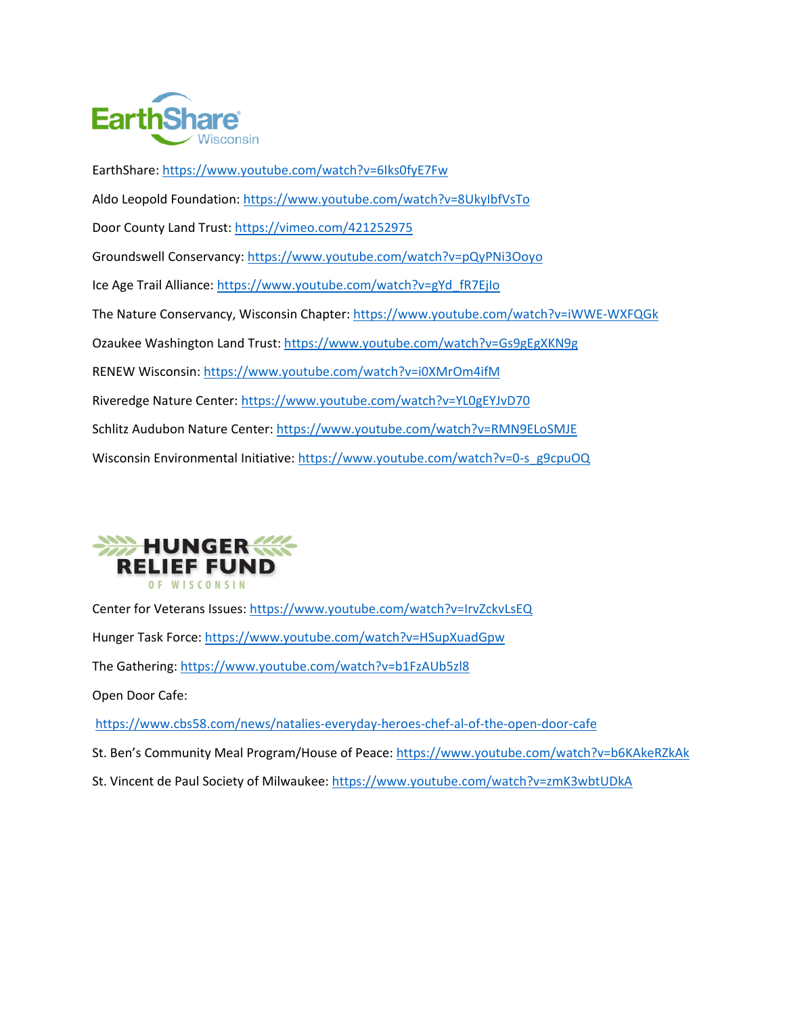

EarthShare:<https://www.youtube.com/watch?v=6Iks0fyE7Fw> Aldo Leopold Foundation:<https://www.youtube.com/watch?v=8UkyIbfVsTo> Door County Land Trust:<https://vimeo.com/421252975> Groundswell Conservancy:<https://www.youtube.com/watch?v=pQyPNi3Ooyo> Ice Age Trail Alliance: [https://www.youtube.com/watch?v=gYd\\_fR7EjIo](https://www.youtube.com/watch?v=gYd_fR7EjIo) The Nature Conservancy, Wisconsin Chapter[: https://www.youtube.com/watch?v=iWWE-WXFQGk](https://www.youtube.com/watch?v=iWWE-WXFQGk) Ozaukee Washington Land Trust:<https://www.youtube.com/watch?v=Gs9gEgXKN9g> RENEW Wisconsin:<https://www.youtube.com/watch?v=i0XMrOm4ifM> Riveredge Nature Center:<https://www.youtube.com/watch?v=YL0gEYJvD70> Schlitz Audubon Nature Center:<https://www.youtube.com/watch?v=RMN9ELoSMJE> Wisconsin Environmental Initiative[: https://www.youtube.com/watch?v=0-s\\_g9cpuOQ](https://www.youtube.com/watch?v=0-s_g9cpuOQ)



Center for Veterans Issues:<https://www.youtube.com/watch?v=IrvZckvLsEQ>

Hunger Task Force:<https://www.youtube.com/watch?v=HSupXuadGpw>

The Gathering:<https://www.youtube.com/watch?v=b1FzAUb5zl8>

Open Door Cafe:

<https://www.cbs58.com/news/natalies-everyday-heroes-chef-al-of-the-open-door-cafe>

St. Ben's Community Meal Program/House of Peace:<https://www.youtube.com/watch?v=b6KAkeRZkAk>

St. Vincent de Paul Society of Milwaukee:<https://www.youtube.com/watch?v=zmK3wbtUDkA>